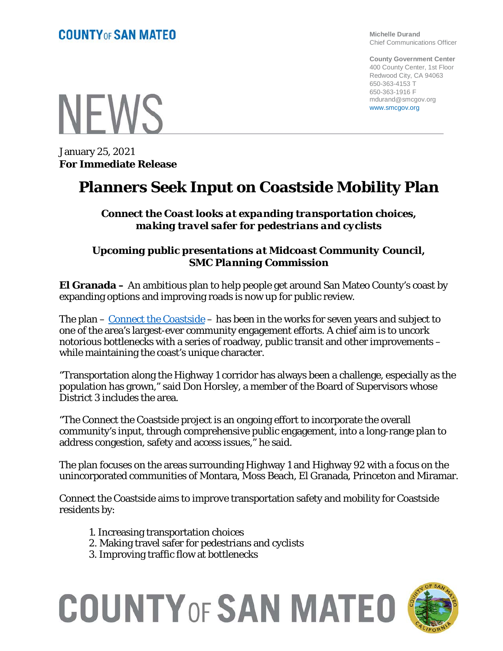**Michelle Durand** Chief Communications Officer

**County Government Center** 400 County Center, 1st Floor Redwood City, CA 94063 650-363-4153 T 650-363-1916 F mdurand@smcgov.org www.smcgov.org

**NFWS** 

January 25, 2021 **For Immediate Release**

## **Planners Seek Input on Coastside Mobility Plan**

*Connect the Coast looks at expanding transportation choices, making travel safer for pedestrians and cyclists*

### *Upcoming public presentations at Midcoast Community Council, SMC Planning Commission*

**El Granada –** An ambitious plan to help people get around San Mateo County's coast by expanding options and improving roads is now up for public review.

The plan – [Connect the Coastside](https://planning.smcgov.org/connect-coastside) – has been in the works for seven years and subject to one of the area's largest-ever community engagement efforts. A chief aim is to uncork notorious bottlenecks with a series of roadway, public transit and other improvements – while maintaining the coast's unique character.

"Transportation along the Highway 1 corridor has always been a challenge, especially as the population has grown," said Don Horsley, a member of the Board of Supervisors whose District 3 includes the area.

"The Connect the Coastside project is an ongoing effort to incorporate the overall community's input, through comprehensive public engagement, into a long-range plan to address congestion, safety and access issues," he said.

The plan focuses on the areas surrounding Highway 1 and Highway 92 with a focus on the unincorporated communities of Montara, Moss Beach, El Granada, Princeton and Miramar.

Connect the Coastside aims to improve transportation safety and mobility for Coastside residents by:

- 1. Increasing transportation choices
- 2. Making travel safer for pedestrians and cyclists
- 3. Improving traffic flow at bottlenecks